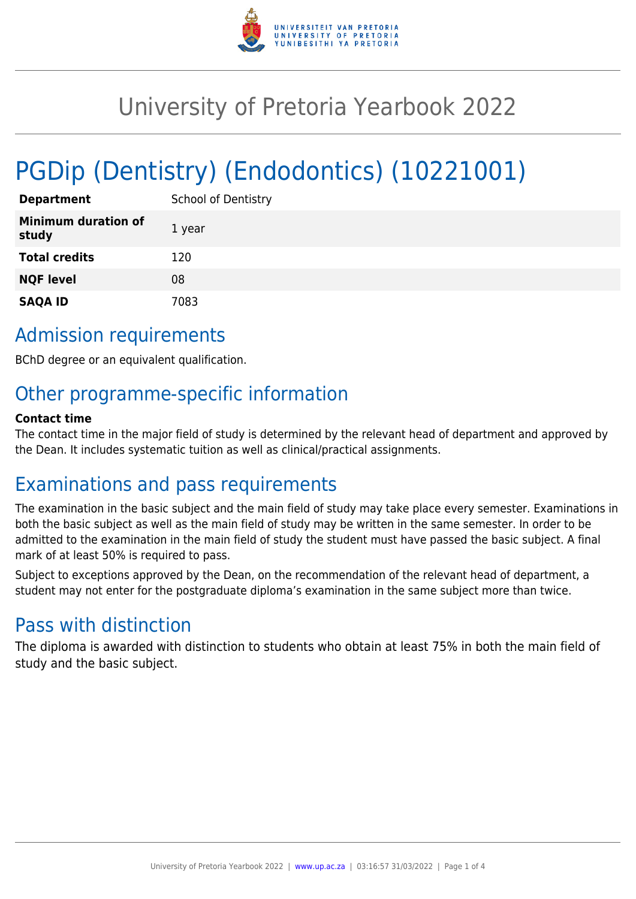

# University of Pretoria Yearbook 2022

# PGDip (Dentistry) (Endodontics) (10221001)

| <b>Department</b>                   | <b>School of Dentistry</b> |
|-------------------------------------|----------------------------|
| <b>Minimum duration of</b><br>study | 1 year                     |
| <b>Total credits</b>                | 120                        |
| <b>NQF level</b>                    | 08                         |
| <b>SAQA ID</b>                      | 7083                       |

# Admission requirements

BChD degree or an equivalent qualification.

# Other programme-specific information

#### **Contact time**

The contact time in the major field of study is determined by the relevant head of department and approved by the Dean. It includes systematic tuition as well as clinical/practical assignments.

## Examinations and pass requirements

The examination in the basic subject and the main field of study may take place every semester. Examinations in both the basic subject as well as the main field of study may be written in the same semester. In order to be admitted to the examination in the main field of study the student must have passed the basic subject. A final mark of at least 50% is required to pass.

Subject to exceptions approved by the Dean, on the recommendation of the relevant head of department, a student may not enter for the postgraduate diploma's examination in the same subject more than twice.

## Pass with distinction

The diploma is awarded with distinction to students who obtain at least 75% in both the main field of study and the basic subject.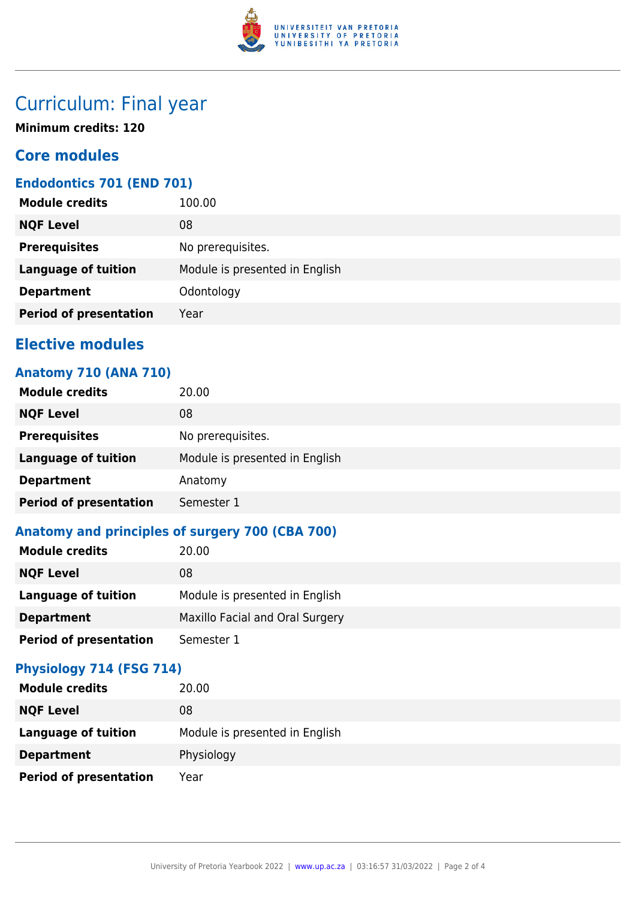

# Curriculum: Final year

**Minimum credits: 120**

## **Core modules**

## **Endodontics 701 (END 701)**

| <b>Module credits</b>         | 100.00                         |
|-------------------------------|--------------------------------|
| <b>NQF Level</b>              | 08                             |
| <b>Prerequisites</b>          | No prerequisites.              |
| <b>Language of tuition</b>    | Module is presented in English |
| <b>Department</b>             | Odontology                     |
| <b>Period of presentation</b> | Year                           |
|                               |                                |

## **Elective modules**

## **Anatomy 710 (ANA 710)**

| <b>Module credits</b>         | 20.00                          |
|-------------------------------|--------------------------------|
| <b>NQF Level</b>              | 08                             |
| <b>Prerequisites</b>          | No prerequisites.              |
| <b>Language of tuition</b>    | Module is presented in English |
| <b>Department</b>             | Anatomy                        |
| <b>Period of presentation</b> | Semester 1                     |

## **Anatomy and principles of surgery 700 (CBA 700)**

| <b>Module credits</b>         | 20.00                           |
|-------------------------------|---------------------------------|
| <b>NQF Level</b>              | 08                              |
| Language of tuition           | Module is presented in English  |
| <b>Department</b>             | Maxillo Facial and Oral Surgery |
| <b>Period of presentation</b> | Semester 1                      |

### **Physiology 714 (FSG 714)**

| <b>Module credits</b>         | 20.00                          |
|-------------------------------|--------------------------------|
| <b>NQF Level</b>              | 08                             |
| <b>Language of tuition</b>    | Module is presented in English |
| <b>Department</b>             | Physiology                     |
| <b>Period of presentation</b> | Year                           |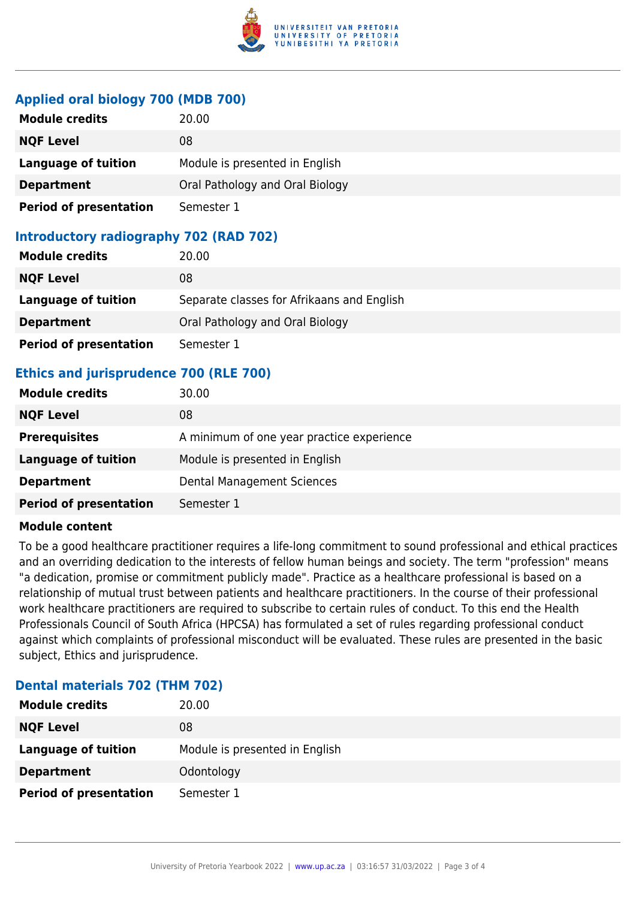

#### **Applied oral biology 700 (MDB 700)**

| <b>Module credits</b>         | 20.00                           |
|-------------------------------|---------------------------------|
| <b>NQF Level</b>              | 08                              |
| <b>Language of tuition</b>    | Module is presented in English  |
| <b>Department</b>             | Oral Pathology and Oral Biology |
| <b>Period of presentation</b> | Semester 1                      |

### **Introductory radiography 702 (RAD 702)**

| <b>Module credits</b>         | 20.00                                      |
|-------------------------------|--------------------------------------------|
| <b>NQF Level</b>              | 08                                         |
| <b>Language of tuition</b>    | Separate classes for Afrikaans and English |
| <b>Department</b>             | Oral Pathology and Oral Biology            |
| <b>Period of presentation</b> | Semester 1                                 |

## **Ethics and jurisprudence 700 (RLE 700)**

| <b>Module credits</b>         | 30.00                                     |
|-------------------------------|-------------------------------------------|
| <b>NQF Level</b>              | 08                                        |
| <b>Prerequisites</b>          | A minimum of one year practice experience |
| <b>Language of tuition</b>    | Module is presented in English            |
| <b>Department</b>             | Dental Management Sciences                |
| <b>Period of presentation</b> | Semester 1                                |

#### **Module content**

To be a good healthcare practitioner requires a life-long commitment to sound professional and ethical practices and an overriding dedication to the interests of fellow human beings and society. The term "profession" means "a dedication, promise or commitment publicly made". Practice as a healthcare professional is based on a relationship of mutual trust between patients and healthcare practitioners. In the course of their professional work healthcare practitioners are required to subscribe to certain rules of conduct. To this end the Health Professionals Council of South Africa (HPCSA) has formulated a set of rules regarding professional conduct against which complaints of professional misconduct will be evaluated. These rules are presented in the basic subject, Ethics and jurisprudence.

#### **Dental materials 702 (THM 702)**

| <b>Module credits</b>         | 20.00                          |
|-------------------------------|--------------------------------|
| <b>NQF Level</b>              | 08                             |
| <b>Language of tuition</b>    | Module is presented in English |
| <b>Department</b>             | Odontology                     |
| <b>Period of presentation</b> | Semester 1                     |